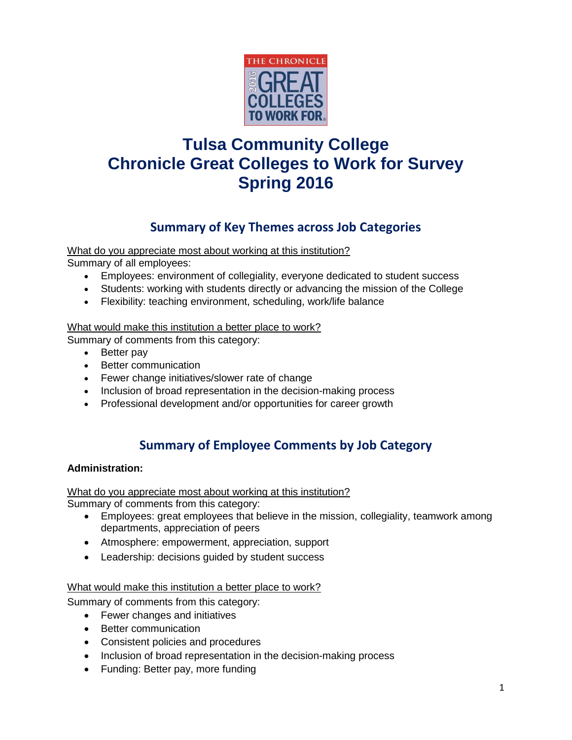

# **Tulsa Community College Chronicle Great Colleges to Work for Survey Spring 2016**

# **Summary of Key Themes across Job Categories**

What do you appreciate most about working at this institution?

Summary of all employees:

- Employees: environment of collegiality, everyone dedicated to student success
- Students: working with students directly or advancing the mission of the College
- Flexibility: teaching environment, scheduling, work/life balance

#### What would make this institution a better place to work?

Summary of comments from this category:

- Better pay
- Better communication
- Fewer change initiatives/slower rate of change
- Inclusion of broad representation in the decision-making process
- Professional development and/or opportunities for career growth

# **Summary of Employee Comments by Job Category**

## **Administration:**

What do you appreciate most about working at this institution? Summary of comments from this category:

- Employees: great employees that believe in the mission, collegiality, teamwork among departments, appreciation of peers
- Atmosphere: empowerment, appreciation, support
- Leadership: decisions guided by student success

#### What would make this institution a better place to work?

Summary of comments from this category:

- Fewer changes and initiatives
- Better communication
- Consistent policies and procedures
- Inclusion of broad representation in the decision-making process
- Funding: Better pay, more funding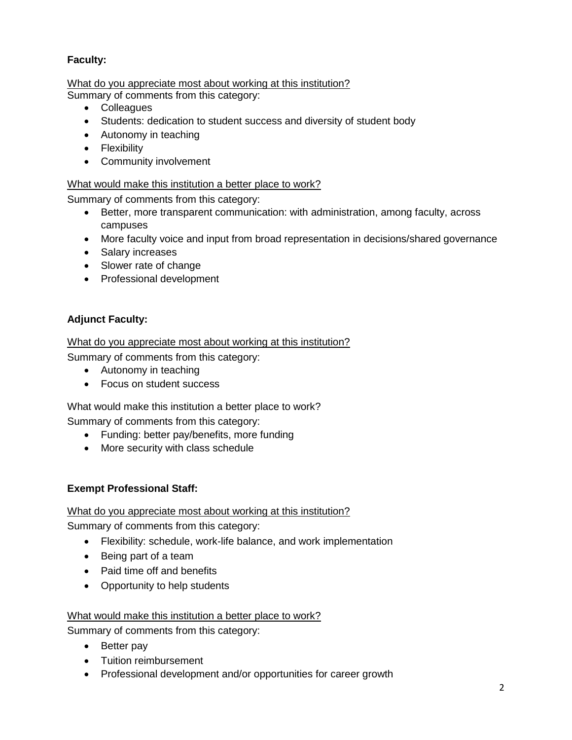# **Faculty:**

What do you appreciate most about working at this institution? Summary of comments from this category:

- Colleagues
- Students: dedication to student success and diversity of student body
- Autonomy in teaching
- Flexibility
- Community involvement

## What would make this institution a better place to work?

Summary of comments from this category:

- Better, more transparent communication: with administration, among faculty, across campuses
- More faculty voice and input from broad representation in decisions/shared governance
- Salary increases
- Slower rate of change
- Professional development

# **Adjunct Faculty:**

What do you appreciate most about working at this institution?

Summary of comments from this category:

- Autonomy in teaching
- Focus on student success

What would make this institution a better place to work?

Summary of comments from this category:

- Funding: better pay/benefits, more funding
- More security with class schedule

## **Exempt Professional Staff:**

## What do you appreciate most about working at this institution?

Summary of comments from this category:

- Flexibility: schedule, work-life balance, and work implementation
- Being part of a team
- Paid time off and benefits
- Opportunity to help students

## What would make this institution a better place to work?

Summary of comments from this category:

- Better pay
- Tuition reimbursement
- Professional development and/or opportunities for career growth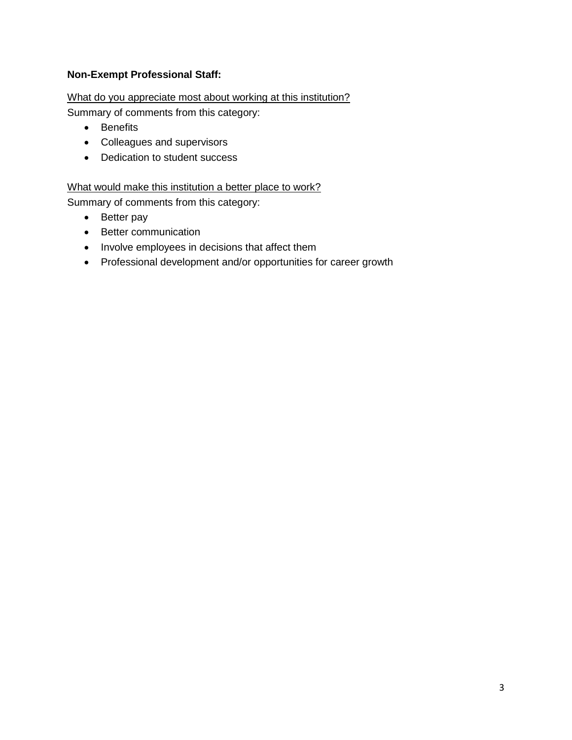# **Non-Exempt Professional Staff:**

What do you appreciate most about working at this institution?

Summary of comments from this category:

- Benefits
- Colleagues and supervisors
- Dedication to student success

What would make this institution a better place to work?

Summary of comments from this category:

- Better pay
- Better communication
- Involve employees in decisions that affect them
- Professional development and/or opportunities for career growth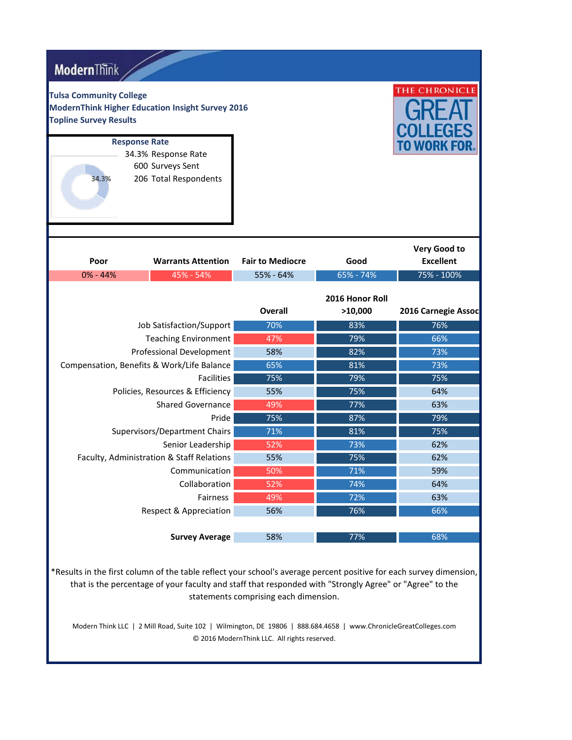| <b>ModernThink</b>                                              |                                                         |                         |                            |                                         |
|-----------------------------------------------------------------|---------------------------------------------------------|-------------------------|----------------------------|-----------------------------------------|
| <b>Tulsa Community College</b><br><b>Topline Survey Results</b> | <b>ModernThink Higher Education Insight Survey 2016</b> |                         |                            | THE CHRONICLE                           |
|                                                                 | <b>Response Rate</b>                                    |                         |                            | TO WORK FOR                             |
|                                                                 | 34.3% Response Rate                                     |                         |                            |                                         |
| 34.3%                                                           | 600 Surveys Sent<br>206 Total Respondents               |                         |                            |                                         |
| Poor                                                            | <b>Warrants Attention</b>                               | <b>Fair to Mediocre</b> | Good                       | <b>Very Good to</b><br><b>Excellent</b> |
| $0\% - 44\%$                                                    | 45% - 54%                                               | 55% - 64%               | 65% - 74%                  | 75% - 100%                              |
|                                                                 |                                                         | <b>Overall</b>          | 2016 Honor Roll<br>>10,000 | 2016 Carnegie Assoc                     |
|                                                                 | Job Satisfaction/Support                                | 70%                     | 83%                        | 76%                                     |
|                                                                 | <b>Teaching Environment</b>                             | 47%                     | 79%                        | 66%                                     |
|                                                                 | Professional Development                                | 58%                     | 82%                        | 73%                                     |
|                                                                 | Compensation, Benefits & Work/Life Balance              | 65%                     | 81%                        |                                         |
|                                                                 |                                                         |                         |                            | 73%                                     |
|                                                                 | <b>Facilities</b>                                       | 75%                     | 79%                        | 75%                                     |
|                                                                 | Policies, Resources & Efficiency                        | 55%                     | 75%                        | 64%                                     |
|                                                                 | <b>Shared Governance</b>                                | 49%                     | 77%                        | 63%                                     |
|                                                                 | Pride                                                   | 75%                     | 87%                        | 79%                                     |
|                                                                 | Supervisors/Department Chairs                           | 71%                     | 81%                        | 75%                                     |
|                                                                 | Senior Leadership                                       | 52%                     | 73%                        | 62%                                     |
|                                                                 | Faculty, Administration & Staff Relations               | 55%                     | 75%                        | 62%                                     |
|                                                                 | Communication                                           | 50%                     | 71%                        | 59%                                     |
|                                                                 | Collaboration                                           | 52%                     | 74%                        | 64%                                     |
|                                                                 | Fairness                                                | 49%                     | 72%                        | 63%                                     |
|                                                                 | <b>Respect &amp; Appreciation</b>                       | 56%                     | 76%                        | 66%                                     |

\*Results in the first column of the table reflect your school's average percent positive for each survey dimension, that is the percentage of your faculty and staff that responded with "Strongly Agree" or "Agree" to the statements comprising each dimension.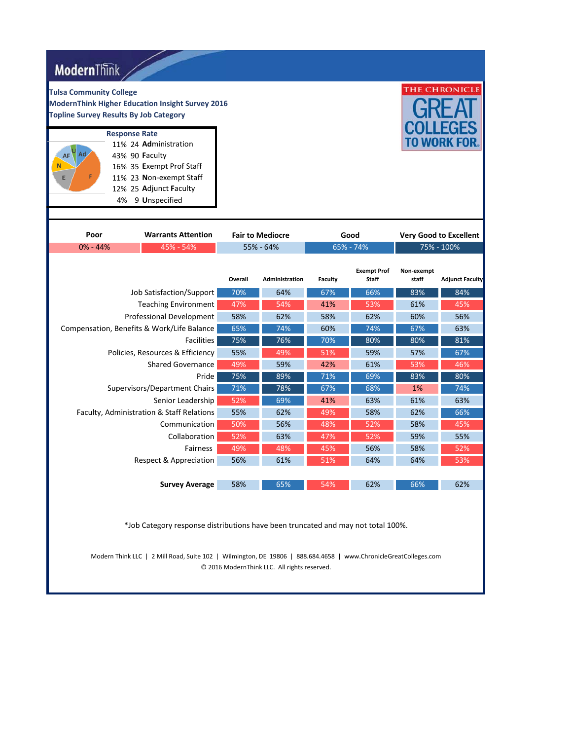|         |                                                                              |                                      |                                    |                     | THE CHRONICLE                 |
|---------|------------------------------------------------------------------------------|--------------------------------------|------------------------------------|---------------------|-------------------------------|
|         |                                                                              |                                      |                                    |                     | TO WORK FOR.                  |
|         |                                                                              |                                      |                                    |                     | <b>Very Good to Excellent</b> |
|         |                                                                              |                                      |                                    |                     |                               |
| Overall | <b>Administration</b>                                                        | Faculty                              | <b>Exempt Prof</b><br><b>Staff</b> | Non-exempt<br>staff | <b>Adjunct Faculty</b>        |
| 70%     | 64%                                                                          | 67%                                  | 66%                                | 83%                 | 84%                           |
| 47%     | 54%                                                                          | 41%                                  | 53%                                | 61%                 | 45%                           |
| 58%     | 62%                                                                          | 58%                                  | 62%                                | 60%                 | 56%                           |
| 65%     | 74%                                                                          | 60%                                  | 74%                                | 67%                 | 63%                           |
| 75%     | 76%                                                                          | 70%                                  | 80%                                | 80%                 | 81%                           |
| 55%     | 49%                                                                          | 51%                                  | 59%                                | 57%                 | 67%                           |
| 49%     | 59%                                                                          | 42%                                  | 61%                                | 53%                 | 46%                           |
| 75%     | 89%                                                                          | 71%                                  | 69%                                | 83%                 | 80%                           |
| 71%     | 78%                                                                          | 67%                                  | 68%                                | 1%                  | 74%                           |
| 52%     | 69%                                                                          | 41%                                  | 63%                                | 61%                 | 63%                           |
|         | 62%                                                                          | 49%                                  | 58%                                | 62%                 | 66%                           |
| 50%     | 56%                                                                          | 48%                                  | 52%                                | 58%                 | 45%                           |
|         | 63%                                                                          | 47%                                  | 52%                                | 59%                 | 55%                           |
|         | 48%                                                                          | 45%                                  | 56%                                | 58%                 | 52%                           |
| 56%     | 61%                                                                          | 51%                                  | 64%                                | 64%                 | 53%                           |
| 58%     | 65%                                                                          | 54%                                  | 62%                                | 66%                 | 62%                           |
|         | <b>ModernThink Higher Education Insight Survey 2016</b><br>55%<br>52%<br>49% | <b>Fair to Mediocre</b><br>55% - 64% |                                    | Good<br>65% - 74%   | $75\% - 100\%$                |

/ 2

\*Job Category response distributions have been truncated and may not total 100%.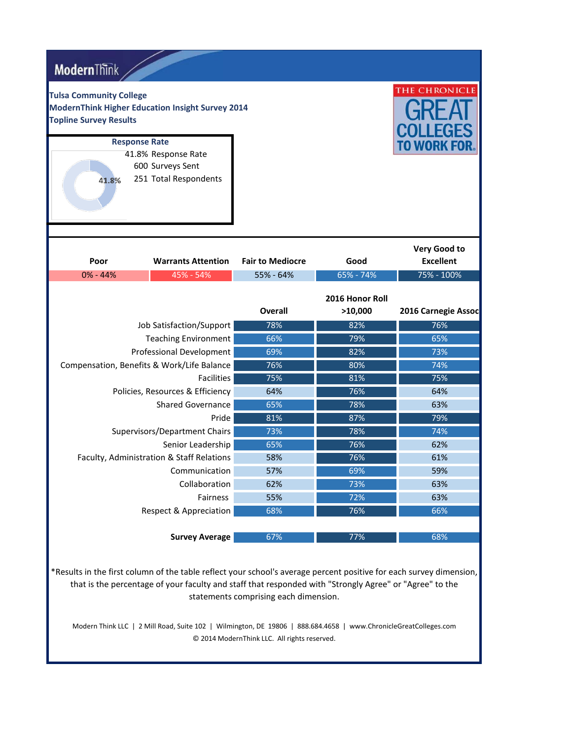| <b>Modern</b> Think                                             |                                                                                          |                         |                            |                                         |
|-----------------------------------------------------------------|------------------------------------------------------------------------------------------|-------------------------|----------------------------|-----------------------------------------|
| <b>Tulsa Community College</b><br><b>Topline Survey Results</b> | <b>ModernThink Higher Education Insight Survey 2014</b>                                  |                         |                            | THE CHRONICLE                           |
| 41.8%                                                           | <b>Response Rate</b><br>41.8% Response Rate<br>600 Surveys Sent<br>251 Total Respondents |                         |                            | TO WORK FOR                             |
| Poor                                                            | <b>Warrants Attention</b>                                                                | <b>Fair to Mediocre</b> | Good                       | <b>Very Good to</b><br><b>Excellent</b> |
| $0\% - 44\%$                                                    | 45% - 54%                                                                                | 55% - 64%               | 65% - 74%                  | 75% - 100%                              |
|                                                                 |                                                                                          | <b>Overall</b>          | 2016 Honor Roll<br>>10,000 | 2016 Carnegie Assoc                     |
|                                                                 | Job Satisfaction/Support                                                                 | 78%                     | 82%                        | 76%                                     |
|                                                                 |                                                                                          |                         |                            |                                         |
|                                                                 | <b>Teaching Environment</b>                                                              | 66%                     | 79%                        | 65%                                     |
|                                                                 | Professional Development                                                                 | 69%                     | 82%                        | 73%                                     |
|                                                                 | Compensation, Benefits & Work/Life Balance                                               | 76%                     | 80%                        | 74%                                     |
|                                                                 | <b>Facilities</b>                                                                        | 75%                     | 81%                        | 75%                                     |
|                                                                 | Policies, Resources & Efficiency                                                         | 64%                     | 76%                        | 64%                                     |
|                                                                 | <b>Shared Governance</b>                                                                 | 65%                     | 78%                        | 63%                                     |
|                                                                 | Pride                                                                                    | 81%                     | 87%                        | 79%                                     |
|                                                                 | Supervisors/Department Chairs                                                            | 73%                     | 78%                        | 74%<br>62%                              |
|                                                                 | Senior Leadership<br>Faculty, Administration & Staff Relations                           | 65%<br>58%              | 76%<br>76%                 | 61%                                     |
|                                                                 | Communication                                                                            | 57%                     | 69%                        | 59%                                     |
|                                                                 | Collaboration                                                                            | 62%                     | 73%                        | 63%                                     |
|                                                                 | Fairness                                                                                 | 55%                     | 72%                        | 63%                                     |
|                                                                 | <b>Respect &amp; Appreciation</b>                                                        | 68%                     | 76%                        | 66%                                     |
|                                                                 |                                                                                          |                         |                            |                                         |

\*Results in the first column of the table reflect your school's average percent positive for each survey dimension, that is the percentage of your faculty and staff that responded with "Strongly Agree" or "Agree" to the statements comprising each dimension.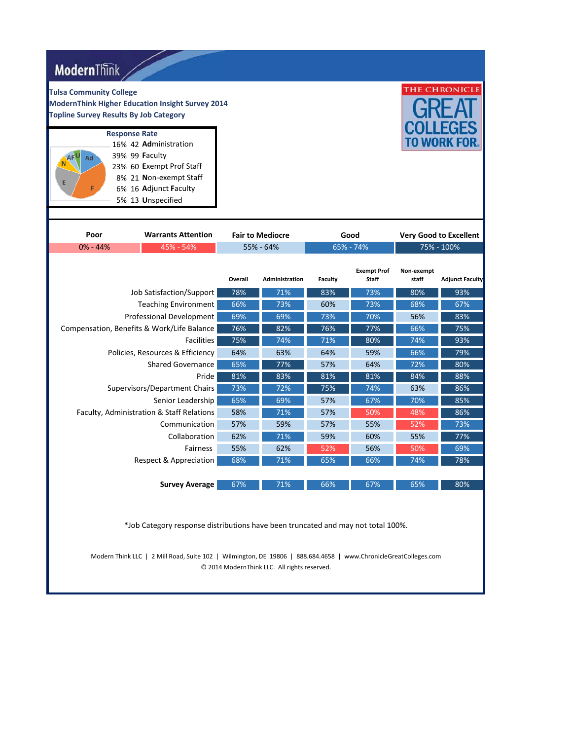| <b>Modern</b> Think                                                                                                                                                              |            |                         |                |                                    |                     |                               |  |
|----------------------------------------------------------------------------------------------------------------------------------------------------------------------------------|------------|-------------------------|----------------|------------------------------------|---------------------|-------------------------------|--|
| <b>Tulsa Community College</b><br><b>ModernThink Higher Education Insight Survey 2014</b><br><b>Topline Survey Results By Job Category</b>                                       |            |                         |                |                                    |                     | THE CHRONICLE                 |  |
| <b>Response Rate</b><br>16% 42 Administration<br>39% 99 <b>Faculty</b><br>Ad<br>23% 60 Exempt Prof Staff<br>8% 21 Non-exempt Staff<br>6% 16 Adjunct Faculty<br>5% 13 Unspecified |            |                         |                |                                    | TO WORK FI          |                               |  |
| Poor<br><b>Warrants Attention</b>                                                                                                                                                |            | <b>Fair to Mediocre</b> |                | Good                               |                     | <b>Very Good to Excellent</b> |  |
| $0\% - 44\%$<br>45% - 54%                                                                                                                                                        |            | 55% - 64%               |                | 65% - 74%                          |                     | 75% - 100%                    |  |
|                                                                                                                                                                                  | Overall    | <b>Administration</b>   | <b>Faculty</b> | <b>Exempt Prof</b><br><b>Staff</b> | Non-exempt<br>staff | <b>Adjunct Faculty</b>        |  |
| Job Satisfaction/Support                                                                                                                                                         | 78%        | 71%                     | 83%            | 73%                                | 80%                 | 93%                           |  |
| <b>Teaching Environment</b>                                                                                                                                                      | 66%        | 73%                     | 60%            | 73%                                | 68%                 | 67%                           |  |
| Professional Development                                                                                                                                                         | 69%        | 69%                     | 73%            | 70%                                | 56%                 | 83%                           |  |
| Compensation, Benefits & Work/Life Balance                                                                                                                                       | 76%        | 82%                     | 76%            | 77%                                | 66%                 | 75%                           |  |
| Facilities                                                                                                                                                                       | 75%        | 74%                     | 71%            | 80%                                | 74%                 | 93%                           |  |
| Policies, Resources & Efficiency                                                                                                                                                 | 64%        | 63%                     | 64%            | 59%                                | 66%                 | 79%                           |  |
| <b>Shared Governance</b>                                                                                                                                                         | 65%        | 77%                     | 57%            | 64%                                | 72%                 | 80%                           |  |
| Pride                                                                                                                                                                            | 81%        | 83%                     | 81%            | 81%                                | 84%                 | 88%                           |  |
| Supervisors/Department Chairs                                                                                                                                                    | 73%        | 72%                     | 75%            | 74%                                | 63%                 | 86%                           |  |
| Senior Leadership                                                                                                                                                                | 65%<br>58% | 69%                     | 57%            | 67%                                | 70%                 | 85%<br>86%                    |  |
| Faculty, Administration & Staff Relations<br>Communication                                                                                                                       | 57%        | 71%<br>59%              | 57%<br>57%     | 50%<br>55%                         | 48%<br>52%          | 73%                           |  |
| Collaboration                                                                                                                                                                    | 62%        | 71%                     | 59%            | 60%                                | 55%                 | 77%                           |  |
| Fairness                                                                                                                                                                         | 55%        | 62%                     | 52%            | 56%                                | 50%                 | 69%                           |  |
| Respect & Appreciation                                                                                                                                                           | 68%        | 71%                     | 65%            | 66%                                | 74%                 | 78%                           |  |
|                                                                                                                                                                                  |            |                         |                |                                    |                     |                               |  |
| <b>Survey Average</b>                                                                                                                                                            | 67%        | 71%                     | 66%            | 67%                                | 65%                 | 80%                           |  |

\*Job Category response distributions have been truncated and may not total 100%.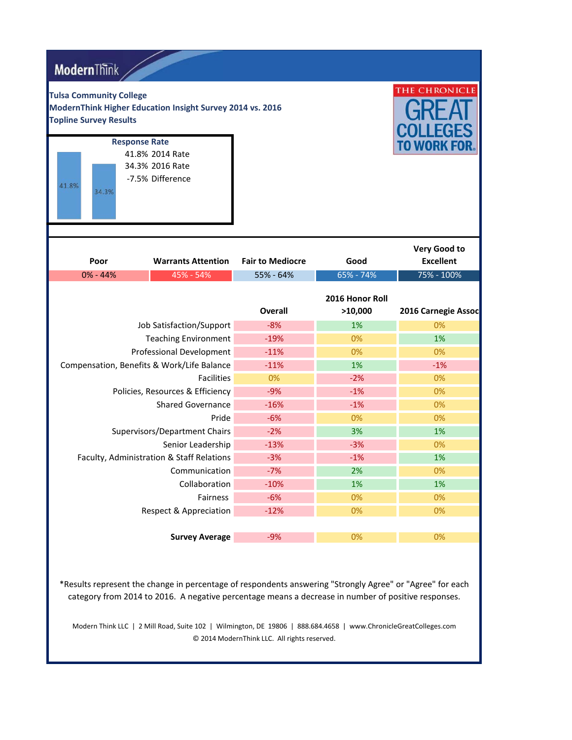| <b>ModernThink</b>                                              |                                                                                |                         |                            |                                  |
|-----------------------------------------------------------------|--------------------------------------------------------------------------------|-------------------------|----------------------------|----------------------------------|
| <b>Tulsa Community College</b><br><b>Topline Survey Results</b> | ModernThink Higher Education Insight Survey 2014 vs. 2016                      |                         |                            | THE CHRONICLE                    |
| 41.8%<br>34.3%                                                  | <b>Response Rate</b><br>41.8% 2014 Rate<br>34.3% 2016 Rate<br>-7.5% Difference |                         |                            | TO WORK FOR                      |
| Poor                                                            | <b>Warrants Attention</b>                                                      | <b>Fair to Mediocre</b> | Good                       | Very Good to<br><b>Excellent</b> |
| $0\% - 44\%$<br>45% - 54%                                       |                                                                                | 55% - 64%               | 65% - 74%                  | 75% - 100%                       |
|                                                                 |                                                                                | <b>Overall</b>          | 2016 Honor Roll<br>>10,000 | 2016 Carnegie Assoc              |
|                                                                 | Job Satisfaction/Support                                                       | $-8%$                   | 1%                         | 0%                               |
| <b>Teaching Environment</b>                                     |                                                                                |                         |                            |                                  |
|                                                                 |                                                                                | $-19%$                  | 0%                         | 1%                               |
|                                                                 | Professional Development                                                       | $-11%$                  | 0%                         | 0%                               |
|                                                                 | Compensation, Benefits & Work/Life Balance                                     | $-11%$                  | 1%                         | $-1%$                            |
|                                                                 | <b>Facilities</b>                                                              | 0%                      | $-2%$                      | 0%                               |
|                                                                 | Policies, Resources & Efficiency                                               | $-9%$                   | $-1%$                      | 0%                               |
|                                                                 | <b>Shared Governance</b>                                                       | $-16%$                  | $-1%$                      | 0%                               |
|                                                                 | Pride                                                                          | $-6%$                   | 0%                         | 0%                               |
|                                                                 | Supervisors/Department Chairs                                                  | $-2%$                   | 3%                         | 1%                               |
|                                                                 | Senior Leadership                                                              | $-13%$                  | $-3%$                      | 0%                               |
|                                                                 | Faculty, Administration & Staff Relations                                      | $-3%$                   | $-1%$                      | 1%                               |
|                                                                 | Communication                                                                  | -7%                     | 2%                         | $0\%$                            |
|                                                                 | Collaboration                                                                  | $-10%$                  | 1%                         | 1%                               |
|                                                                 | Fairness                                                                       | $-6%$                   | 0%                         | 0%                               |
|                                                                 | <b>Respect &amp; Appreciation</b>                                              | $-12%$                  | 0%                         | 0%                               |

\*Results represent the change in percentage of respondents answering "Strongly Agree" or "Agree" for each category from 2014 to 2016. A negative percentage means a decrease in number of positive responses.